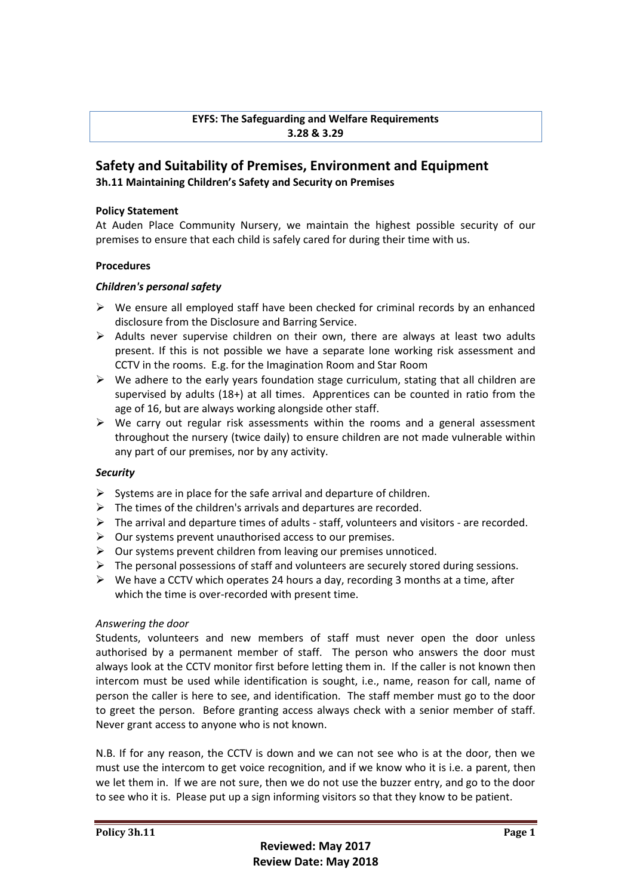# **EYFS: The Safeguarding and Welfare Requirements 3.28 & 3.29**

# **Safety and Suitability of Premises, Environment and Equipment 3h.11 Maintaining Children's Safety and Security on Premises**

#### **Policy Statement**

At Auden Place Community Nursery, we maintain the highest possible security of our premises to ensure that each child is safely cared for during their time with us.

#### **Procedures**

### *Children's personal safety*

- $\triangleright$  We ensure all employed staff have been checked for criminal records by an enhanced disclosure from the Disclosure and Barring Service.
- $\triangleright$  Adults never supervise children on their own, there are always at least two adults present. If this is not possible we have a separate lone working risk assessment and CCTV in the rooms. E.g. for the Imagination Room and Star Room
- $\triangleright$  We adhere to the early years foundation stage curriculum, stating that all children are supervised by adults (18+) at all times. Apprentices can be counted in ratio from the age of 16, but are always working alongside other staff.
- $\triangleright$  We carry out regular risk assessments within the rooms and a general assessment throughout the nursery (twice daily) to ensure children are not made vulnerable within any part of our premises, nor by any activity.

### *Security*

- $\triangleright$  Systems are in place for the safe arrival and departure of children.
- $\triangleright$  The times of the children's arrivals and departures are recorded.
- $\triangleright$  The arrival and departure times of adults staff, volunteers and visitors are recorded.
- $\triangleright$  Our systems prevent unauthorised access to our premises.
- $\triangleright$  Our systems prevent children from leaving our premises unnoticed.
- $\triangleright$  The personal possessions of staff and volunteers are securely stored during sessions.
- $\triangleright$  We have a CCTV which operates 24 hours a day, recording 3 months at a time, after which the time is over-recorded with present time.

### *Answering the door*

Students, volunteers and new members of staff must never open the door unless authorised by a permanent member of staff. The person who answers the door must always look at the CCTV monitor first before letting them in. If the caller is not known then intercom must be used while identification is sought, i.e., name, reason for call, name of person the caller is here to see, and identification. The staff member must go to the door to greet the person. Before granting access always check with a senior member of staff. Never grant access to anyone who is not known.

N.B. If for any reason, the CCTV is down and we can not see who is at the door, then we must use the intercom to get voice recognition, and if we know who it is i.e. a parent, then we let them in. If we are not sure, then we do not use the buzzer entry, and go to the door to see who it is. Please put up a sign informing visitors so that they know to be patient.